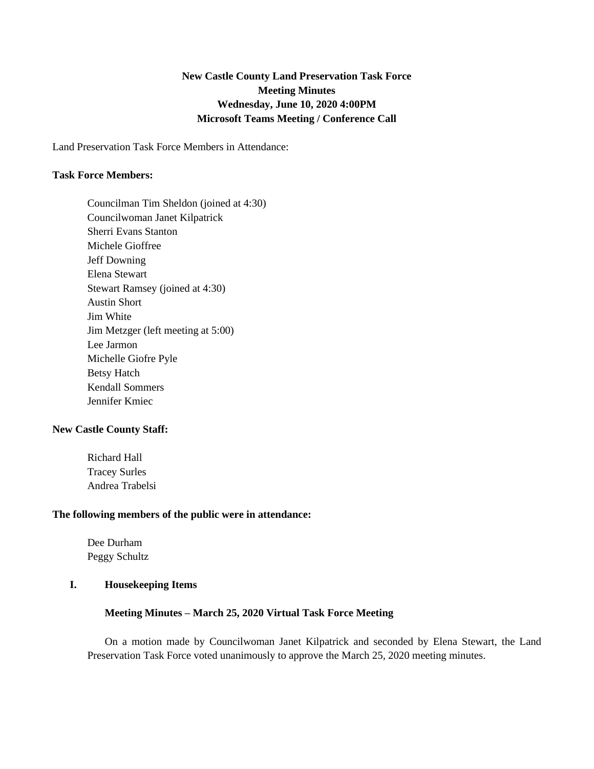# **New Castle County Land Preservation Task Force Meeting Minutes Wednesday, June 10, 2020 4:00PM Microsoft Teams Meeting / Conference Call**

Land Preservation Task Force Members in Attendance:

#### **Task Force Members:**

Councilman Tim Sheldon (joined at 4:30) Councilwoman Janet Kilpatrick Sherri Evans Stanton Michele Gioffree Jeff Downing Elena Stewart Stewart Ramsey (joined at 4:30) Austin Short Jim White Jim Metzger (left meeting at 5:00) Lee Jarmon Michelle Giofre Pyle Betsy Hatch Kendall Sommers Jennifer Kmiec

#### **New Castle County Staff:**

Richard Hall Tracey Surles Andrea Trabelsi

#### **The following members of the public were in attendance:**

Dee Durham Peggy Schultz

## **I. Housekeeping Items**

#### **Meeting Minutes – March 25, 2020 Virtual Task Force Meeting**

On a motion made by Councilwoman Janet Kilpatrick and seconded by Elena Stewart, the Land Preservation Task Force voted unanimously to approve the March 25, 2020 meeting minutes.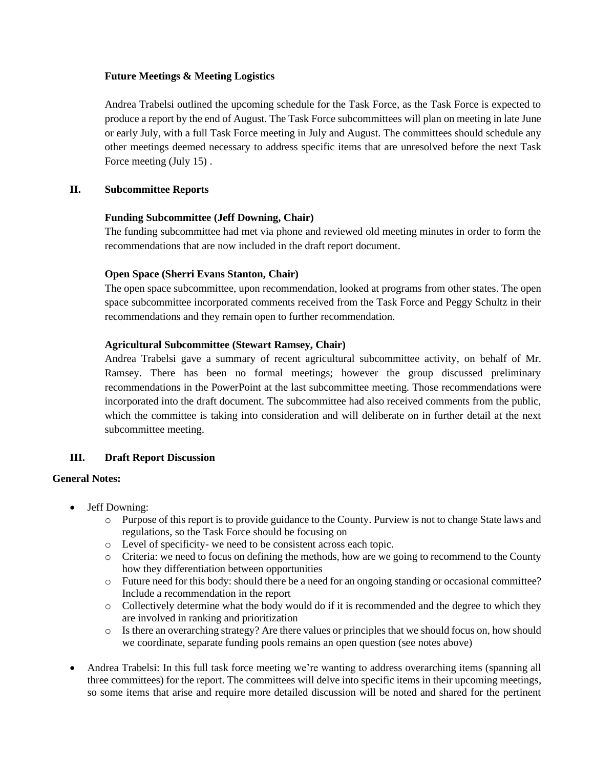### **Future Meetings & Meeting Logistics**

Andrea Trabelsi outlined the upcoming schedule for the Task Force, as the Task Force is expected to produce a report by the end of August. The Task Force subcommittees will plan on meeting in late June or early July, with a full Task Force meeting in July and August. The committees should schedule any other meetings deemed necessary to address specific items that are unresolved before the next Task Force meeting (July 15) .

### **II. Subcommittee Reports**

#### **Funding Subcommittee (Jeff Downing, Chair)**

The funding subcommittee had met via phone and reviewed old meeting minutes in order to form the recommendations that are now included in the draft report document.

#### **Open Space (Sherri Evans Stanton, Chair)**

The open space subcommittee, upon recommendation, looked at programs from other states. The open space subcommittee incorporated comments received from the Task Force and Peggy Schultz in their recommendations and they remain open to further recommendation.

#### **Agricultural Subcommittee (Stewart Ramsey, Chair)**

Andrea Trabelsi gave a summary of recent agricultural subcommittee activity, on behalf of Mr. Ramsey. There has been no formal meetings; however the group discussed preliminary recommendations in the PowerPoint at the last subcommittee meeting. Those recommendations were incorporated into the draft document. The subcommittee had also received comments from the public, which the committee is taking into consideration and will deliberate on in further detail at the next subcommittee meeting.

### **III. Draft Report Discussion**

#### **General Notes:**

- Jeff Downing:
	- o Purpose of this report is to provide guidance to the County. Purview is not to change State laws and regulations, so the Task Force should be focusing on
	- o Level of specificity- we need to be consistent across each topic.
	- o Criteria: we need to focus on defining the methods, how are we going to recommend to the County how they differentiation between opportunities
	- o Future need for this body: should there be a need for an ongoing standing or occasional committee? Include a recommendation in the report
	- o Collectively determine what the body would do if it is recommended and the degree to which they are involved in ranking and prioritization
	- o Is there an overarching strategy? Are there values or principles that we should focus on, how should we coordinate, separate funding pools remains an open question (see notes above)
- Andrea Trabelsi: In this full task force meeting we're wanting to address overarching items (spanning all three committees) for the report. The committees will delve into specific items in their upcoming meetings, so some items that arise and require more detailed discussion will be noted and shared for the pertinent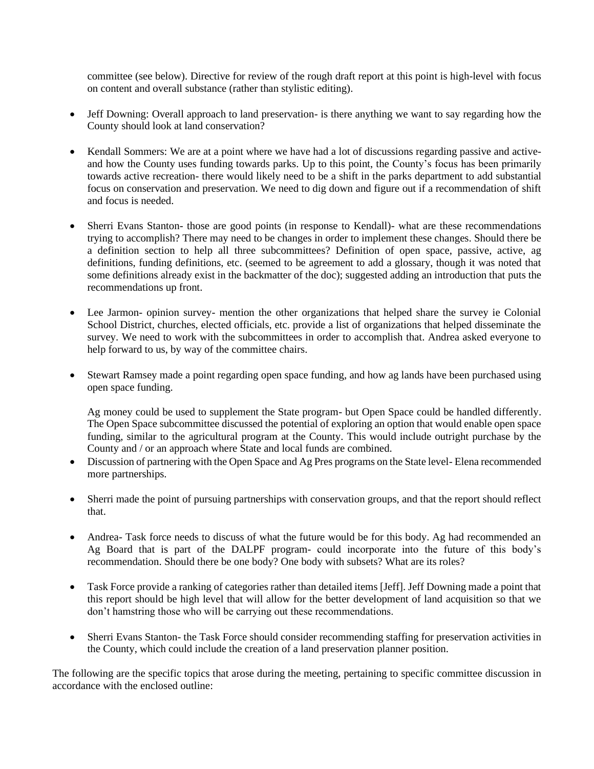committee (see below). Directive for review of the rough draft report at this point is high-level with focus on content and overall substance (rather than stylistic editing).

- Jeff Downing: Overall approach to land preservation- is there anything we want to say regarding how the County should look at land conservation?
- Kendall Sommers: We are at a point where we have had a lot of discussions regarding passive and activeand how the County uses funding towards parks. Up to this point, the County's focus has been primarily towards active recreation- there would likely need to be a shift in the parks department to add substantial focus on conservation and preservation. We need to dig down and figure out if a recommendation of shift and focus is needed.
- Sherri Evans Stanton- those are good points (in response to Kendall)- what are these recommendations trying to accomplish? There may need to be changes in order to implement these changes. Should there be a definition section to help all three subcommittees? Definition of open space, passive, active, ag definitions, funding definitions, etc. (seemed to be agreement to add a glossary, though it was noted that some definitions already exist in the backmatter of the doc); suggested adding an introduction that puts the recommendations up front.
- Lee Jarmon- opinion survey- mention the other organizations that helped share the survey ie Colonial School District, churches, elected officials, etc. provide a list of organizations that helped disseminate the survey. We need to work with the subcommittees in order to accomplish that. Andrea asked everyone to help forward to us, by way of the committee chairs.
- Stewart Ramsey made a point regarding open space funding, and how ag lands have been purchased using open space funding.

Ag money could be used to supplement the State program- but Open Space could be handled differently. The Open Space subcommittee discussed the potential of exploring an option that would enable open space funding, similar to the agricultural program at the County. This would include outright purchase by the County and / or an approach where State and local funds are combined.

- Discussion of partnering with the Open Space and Ag Pres programs on the State level- Elena recommended more partnerships.
- Sherri made the point of pursuing partnerships with conservation groups, and that the report should reflect that.
- Andrea- Task force needs to discuss of what the future would be for this body. Ag had recommended an Ag Board that is part of the DALPF program- could incorporate into the future of this body's recommendation. Should there be one body? One body with subsets? What are its roles?
- Task Force provide a ranking of categories rather than detailed items [Jeff]. Jeff Downing made a point that this report should be high level that will allow for the better development of land acquisition so that we don't hamstring those who will be carrying out these recommendations.
- Sherri Evans Stanton- the Task Force should consider recommending staffing for preservation activities in the County, which could include the creation of a land preservation planner position.

The following are the specific topics that arose during the meeting, pertaining to specific committee discussion in accordance with the enclosed outline: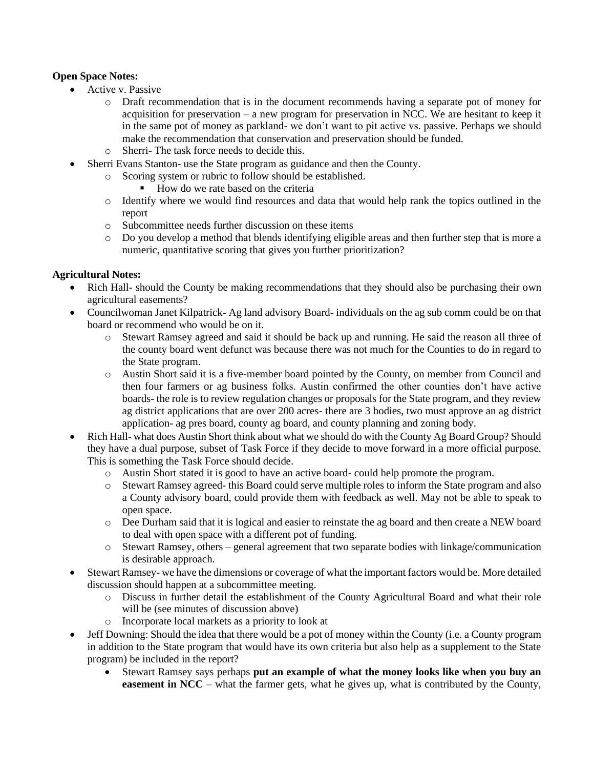## **Open Space Notes:**

- Active v. Passive
	- o Draft recommendation that is in the document recommends having a separate pot of money for acquisition for preservation – a new program for preservation in NCC. We are hesitant to keep it in the same pot of money as parkland- we don't want to pit active vs. passive. Perhaps we should make the recommendation that conservation and preservation should be funded.
	- o Sherri- The task force needs to decide this.
- Sherri Evans Stanton- use the State program as guidance and then the County.
	- o Scoring system or rubric to follow should be established.
		- How do we rate based on the criteria
	- o Identify where we would find resources and data that would help rank the topics outlined in the report
	- o Subcommittee needs further discussion on these items
	- o Do you develop a method that blends identifying eligible areas and then further step that is more a numeric, quantitative scoring that gives you further prioritization?

## **Agricultural Notes:**

- Rich Hall- should the County be making recommendations that they should also be purchasing their own agricultural easements?
- Councilwoman Janet Kilpatrick- Ag land advisory Board- individuals on the ag sub comm could be on that board or recommend who would be on it.
	- o Stewart Ramsey agreed and said it should be back up and running. He said the reason all three of the county board went defunct was because there was not much for the Counties to do in regard to the State program.
	- o Austin Short said it is a five-member board pointed by the County, on member from Council and then four farmers or ag business folks. Austin confirmed the other counties don't have active boards- the role is to review regulation changes or proposals for the State program, and they review ag district applications that are over 200 acres- there are 3 bodies, two must approve an ag district application- ag pres board, county ag board, and county planning and zoning body.
- Rich Hall- what does Austin Short think about what we should do with the County Ag Board Group? Should they have a dual purpose, subset of Task Force if they decide to move forward in a more official purpose. This is something the Task Force should decide.
	- o Austin Short stated it is good to have an active board- could help promote the program.
	- o Stewart Ramsey agreed- this Board could serve multiple roles to inform the State program and also a County advisory board, could provide them with feedback as well. May not be able to speak to open space.
	- o Dee Durham said that it is logical and easier to reinstate the ag board and then create a NEW board to deal with open space with a different pot of funding.
	- $\circ$  Stewart Ramsey, others general agreement that two separate bodies with linkage/communication is desirable approach.
- Stewart Ramsey- we have the dimensions or coverage of what the important factors would be. More detailed discussion should happen at a subcommittee meeting.
	- o Discuss in further detail the establishment of the County Agricultural Board and what their role will be (see minutes of discussion above)
	- o Incorporate local markets as a priority to look at
- Jeff Downing: Should the idea that there would be a pot of money within the County (i.e. a County program in addition to the State program that would have its own criteria but also help as a supplement to the State program) be included in the report?
	- Stewart Ramsey says perhaps **put an example of what the money looks like when you buy an easement in NCC** – what the farmer gets, what he gives up, what is contributed by the County,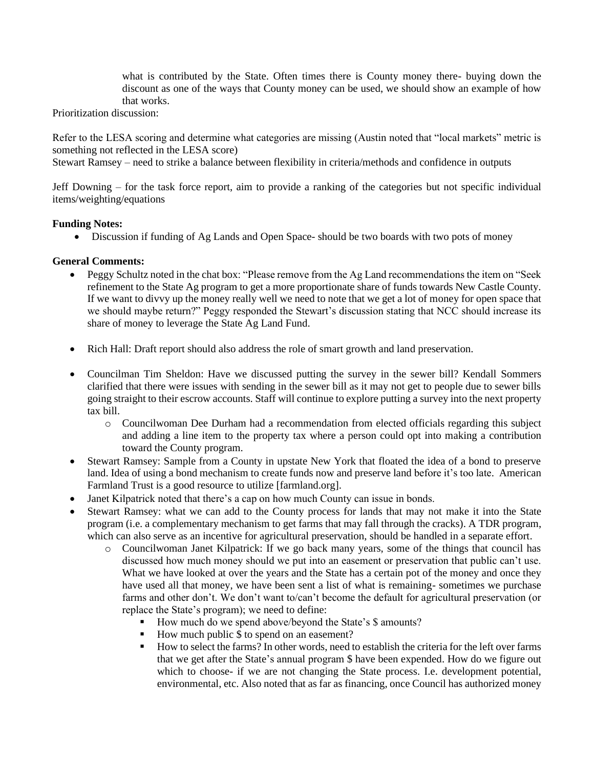what is contributed by the State. Often times there is County money there- buying down the discount as one of the ways that County money can be used, we should show an example of how that works.

Prioritization discussion:

Refer to the LESA scoring and determine what categories are missing (Austin noted that "local markets" metric is something not reflected in the LESA score)

Stewart Ramsey – need to strike a balance between flexibility in criteria/methods and confidence in outputs

Jeff Downing – for the task force report, aim to provide a ranking of the categories but not specific individual items/weighting/equations

### **Funding Notes:**

• Discussion if funding of Ag Lands and Open Space- should be two boards with two pots of money

## **General Comments:**

- Peggy Schultz noted in the chat box: "Please remove from the Ag Land recommendations the item on "Seek refinement to the State Ag program to get a more proportionate share of funds towards New Castle County. If we want to divvy up the money really well we need to note that we get a lot of money for open space that we should maybe return?" Peggy responded the Stewart's discussion stating that NCC should increase its share of money to leverage the State Ag Land Fund.
- Rich Hall: Draft report should also address the role of smart growth and land preservation.
- Councilman Tim Sheldon: Have we discussed putting the survey in the sewer bill? Kendall Sommers clarified that there were issues with sending in the sewer bill as it may not get to people due to sewer bills going straight to their escrow accounts. Staff will continue to explore putting a survey into the next property tax bill.
	- o Councilwoman Dee Durham had a recommendation from elected officials regarding this subject and adding a line item to the property tax where a person could opt into making a contribution toward the County program.
- Stewart Ramsey: Sample from a County in upstate New York that floated the idea of a bond to preserve land. Idea of using a bond mechanism to create funds now and preserve land before it's too late. American Farmland Trust is a good resource to utilize [farmland.org].
- Janet Kilpatrick noted that there's a cap on how much County can issue in bonds.
- Stewart Ramsey: what we can add to the County process for lands that may not make it into the State program (i.e. a complementary mechanism to get farms that may fall through the cracks). A TDR program, which can also serve as an incentive for agricultural preservation, should be handled in a separate effort.
	- o Councilwoman Janet Kilpatrick: If we go back many years, some of the things that council has discussed how much money should we put into an easement or preservation that public can't use. What we have looked at over the years and the State has a certain pot of the money and once they have used all that money, we have been sent a list of what is remaining- sometimes we purchase farms and other don't. We don't want to/can't become the default for agricultural preservation (or replace the State's program); we need to define:
		- How much do we spend above/beyond the State's \$ amounts?
		- How much public \$ to spend on an easement?
		- How to select the farms? In other words, need to establish the criteria for the left over farms that we get after the State's annual program \$ have been expended. How do we figure out which to choose- if we are not changing the State process. I.e. development potential, environmental, etc. Also noted that as far as financing, once Council has authorized money